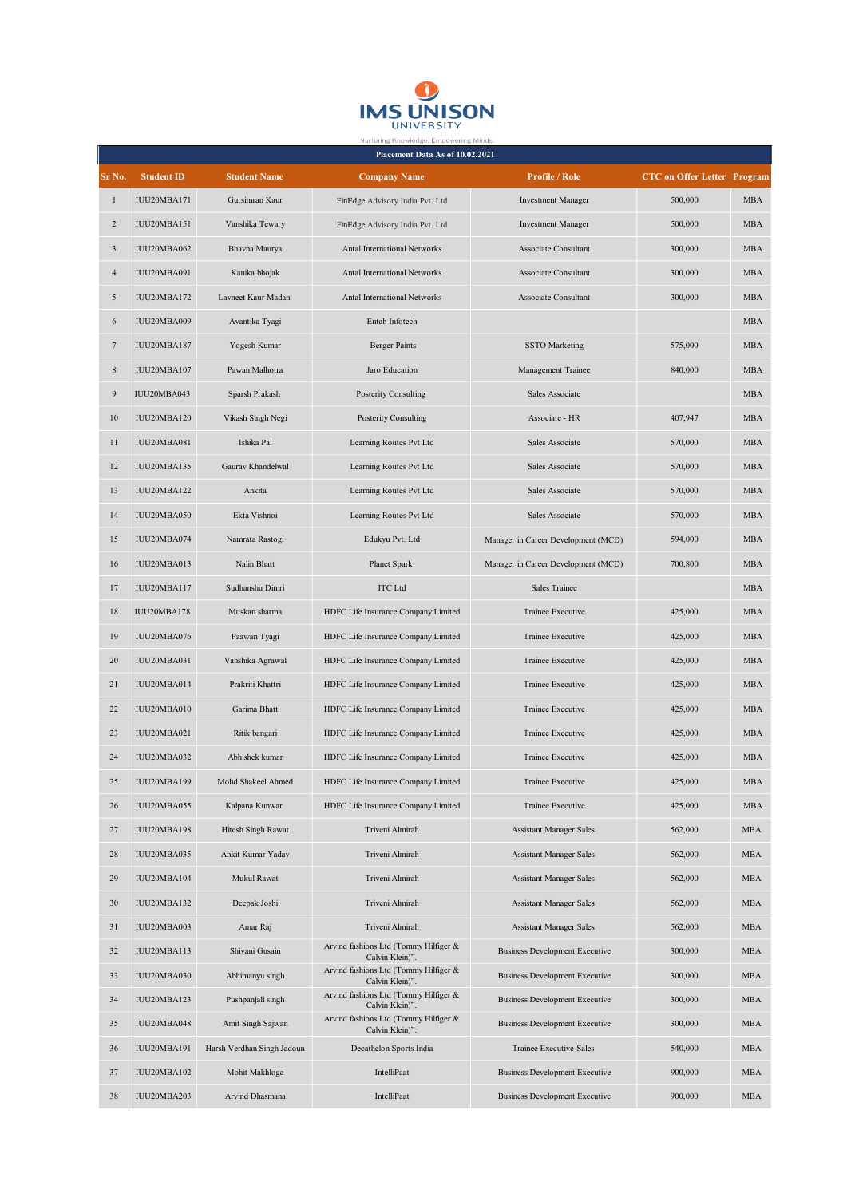

| Nurturing Knowledge. Empowering Minds<br>Placement Data As of 10.02.2021 |                   |                            |                                                          |                                       |                                    |            |  |  |  |  |
|--------------------------------------------------------------------------|-------------------|----------------------------|----------------------------------------------------------|---------------------------------------|------------------------------------|------------|--|--|--|--|
| Sr No.                                                                   | <b>Student ID</b> | <b>Student Name</b>        | <b>Company Name</b>                                      | <b>Profile / Role</b>                 | <b>CTC</b> on Offer Letter Program |            |  |  |  |  |
| $\mathbf{1}$                                                             | IUU20MBA171       | Gursimran Kaur             | FinEdge Advisory India Pvt. Ltd                          | <b>Investment Manager</b>             | 500,000                            | MBA        |  |  |  |  |
| $\overline{c}$                                                           | IUU20MBA151       | Vanshika Tewary            | FinEdge Advisory India Pvt. Ltd                          | <b>Investment Manager</b>             | 500,000                            | <b>MBA</b> |  |  |  |  |
| 3                                                                        | IUU20MBA062       | Bhavna Maurya              | Antal International Networks                             | Associate Consultant                  | 300,000                            | <b>MBA</b> |  |  |  |  |
| $\overline{4}$                                                           | IUU20MBA091       | Kanika bhojak              | Antal International Networks                             | Associate Consultant                  | 300,000                            | <b>MBA</b> |  |  |  |  |
| 5                                                                        | IUU20MBA172       | Lavneet Kaur Madan         | Antal International Networks                             | Associate Consultant                  | 300,000                            | <b>MBA</b> |  |  |  |  |
| 6                                                                        | IUU20MBA009       | Avantika Tyagi             | Entab Infotech                                           |                                       |                                    | <b>MBA</b> |  |  |  |  |
| 7                                                                        | IUU20MBA187       | Yogesh Kumar               | <b>Berger Paints</b>                                     | <b>SSTO</b> Marketing                 | 575,000                            | <b>MBA</b> |  |  |  |  |
| 8                                                                        | IUU20MBA107       | Pawan Malhotra             | Jaro Education                                           | Management Trainee                    | 840,000                            | <b>MBA</b> |  |  |  |  |
| 9                                                                        | IUU20MBA043       | Sparsh Prakash             | Posterity Consulting                                     | Sales Associate                       |                                    | <b>MBA</b> |  |  |  |  |
| $10\,$                                                                   | IUU20MBA120       | Vikash Singh Negi          | Posterity Consulting                                     | Associate - HR                        | 407,947                            | <b>MBA</b> |  |  |  |  |
| 11                                                                       | IUU20MBA081       | Ishika Pal                 | Learning Routes Pvt Ltd                                  | Sales Associate                       | 570,000                            | <b>MBA</b> |  |  |  |  |
| 12                                                                       | IUU20MBA135       | Gaurav Khandelwal          | Learning Routes Pvt Ltd                                  | Sales Associate                       | 570,000                            | <b>MBA</b> |  |  |  |  |
| 13                                                                       | IUU20MBA122       | Ankita                     | Learning Routes Pvt Ltd                                  | Sales Associate                       | 570,000                            | <b>MBA</b> |  |  |  |  |
| 14                                                                       | IUU20MBA050       | Ekta Vishnoi               | Learning Routes Pvt Ltd                                  | Sales Associate                       | 570,000                            | <b>MBA</b> |  |  |  |  |
| 15                                                                       | IUU20MBA074       | Namrata Rastogi            | Edukyu Pvt. Ltd                                          | Manager in Career Development (MCD)   | 594,000                            | <b>MBA</b> |  |  |  |  |
| 16                                                                       | IUU20MBA013       | Nalin Bhatt                | Planet Spark                                             | Manager in Career Development (MCD)   | 700,800                            | <b>MBA</b> |  |  |  |  |
| 17                                                                       | IUU20MBA117       | Sudhanshu Dimri            | <b>ITC</b> Ltd                                           | Sales Trainee                         |                                    | <b>MBA</b> |  |  |  |  |
| 18                                                                       | IUU20MBA178       | Muskan sharma              | HDFC Life Insurance Company Limited                      | Trainee Executive                     | 425,000                            | <b>MBA</b> |  |  |  |  |
| 19                                                                       | IUU20MBA076       | Paawan Tyagi               | HDFC Life Insurance Company Limited                      | Trainee Executive                     | 425,000                            | <b>MBA</b> |  |  |  |  |
| 20                                                                       | IUU20MBA031       | Vanshika Agrawal           | HDFC Life Insurance Company Limited                      | Trainee Executive                     | 425,000                            | <b>MBA</b> |  |  |  |  |
| 21                                                                       | IUU20MBA014       | Prakriti Khattri           | HDFC Life Insurance Company Limited                      | Trainee Executive                     | 425,000                            | <b>MBA</b> |  |  |  |  |
| 22                                                                       | IUU20MBA010       | Garima Bhatt               | HDFC Life Insurance Company Limited                      | Trainee Executive                     | 425,000                            | <b>MBA</b> |  |  |  |  |
| 23                                                                       | IUU20MBA021       | Ritik bangari              | HDFC Life Insurance Company Limited                      | Trainee Executive                     | 425,000                            | <b>MBA</b> |  |  |  |  |
| 24                                                                       | IUU20MBA032       | Abhishek kumar             | HDFC Life Insurance Company Limited                      | Trainee Executive                     | 425,000                            | <b>MBA</b> |  |  |  |  |
| 25                                                                       | IUU20MBA199       | Mohd Shakeel Ahmed         | HDFC Life Insurance Company Limited                      | Trainee Executive                     | 425,000                            | MBA        |  |  |  |  |
| 26                                                                       | IUU20MBA055       | Kalpana Kunwar             | HDFC Life Insurance Company Limited                      | <b>Trainee Executive</b>              | 425,000                            | <b>MBA</b> |  |  |  |  |
| 27                                                                       | IUU20MBA198       | Hitesh Singh Rawat         | Triveni Almirah                                          | <b>Assistant Manager Sales</b>        | 562,000                            | <b>MBA</b> |  |  |  |  |
| 28                                                                       | IUU20MBA035       | Ankit Kumar Yadav          | Triveni Almirah                                          | <b>Assistant Manager Sales</b>        | 562,000                            | MBA        |  |  |  |  |
| 29                                                                       | IUU20MBA104       | Mukul Rawat                | Triveni Almirah                                          | <b>Assistant Manager Sales</b>        | 562,000                            | <b>MBA</b> |  |  |  |  |
| 30                                                                       | IUU20MBA132       | Deepak Joshi               | Triveni Almirah                                          | <b>Assistant Manager Sales</b>        | 562,000                            | <b>MBA</b> |  |  |  |  |
| 31                                                                       | IUU20MBA003       | Amar Raj                   | Triveni Almirah                                          | <b>Assistant Manager Sales</b>        | 562,000                            | MBA        |  |  |  |  |
| 32                                                                       | IUU20MBA113       | Shivani Gusain             | Arvind fashions Ltd (Tommy Hilfiger &<br>Calvin Klein)". | <b>Business Development Executive</b> | 300,000                            | MBA        |  |  |  |  |
| 33                                                                       | IUU20MBA030       | Abhimanyu singh            | Arvind fashions Ltd (Tommy Hilfiger &<br>Calvin Klein)". | <b>Business Development Executive</b> | 300,000                            | <b>MBA</b> |  |  |  |  |
| 34                                                                       | IUU20MBA123       | Pushpanjali singh          | Arvind fashions Ltd (Tommy Hilfiger &<br>Calvin Klein)". | <b>Business Development Executive</b> | 300,000                            | MBA        |  |  |  |  |
| 35                                                                       | IUU20MBA048       | Amit Singh Sajwan          | Arvind fashions Ltd (Tommy Hilfiger &<br>Calvin Klein)". | <b>Business Development Executive</b> | 300,000                            | <b>MBA</b> |  |  |  |  |
| 36                                                                       | IUU20MBA191       | Harsh Verdhan Singh Jadoun | Decathelon Sports India                                  | Trainee Executive-Sales               | 540,000                            | MBA        |  |  |  |  |
| 37                                                                       | IUU20MBA102       | Mohit Makhloga             | IntelliPaat                                              | <b>Business Development Executive</b> | 900,000                            | <b>MBA</b> |  |  |  |  |
| 38                                                                       | IUU20MBA203       | Arvind Dhasmana            | IntelliPaat                                              | <b>Business Development Executive</b> | 900,000                            | MBA        |  |  |  |  |